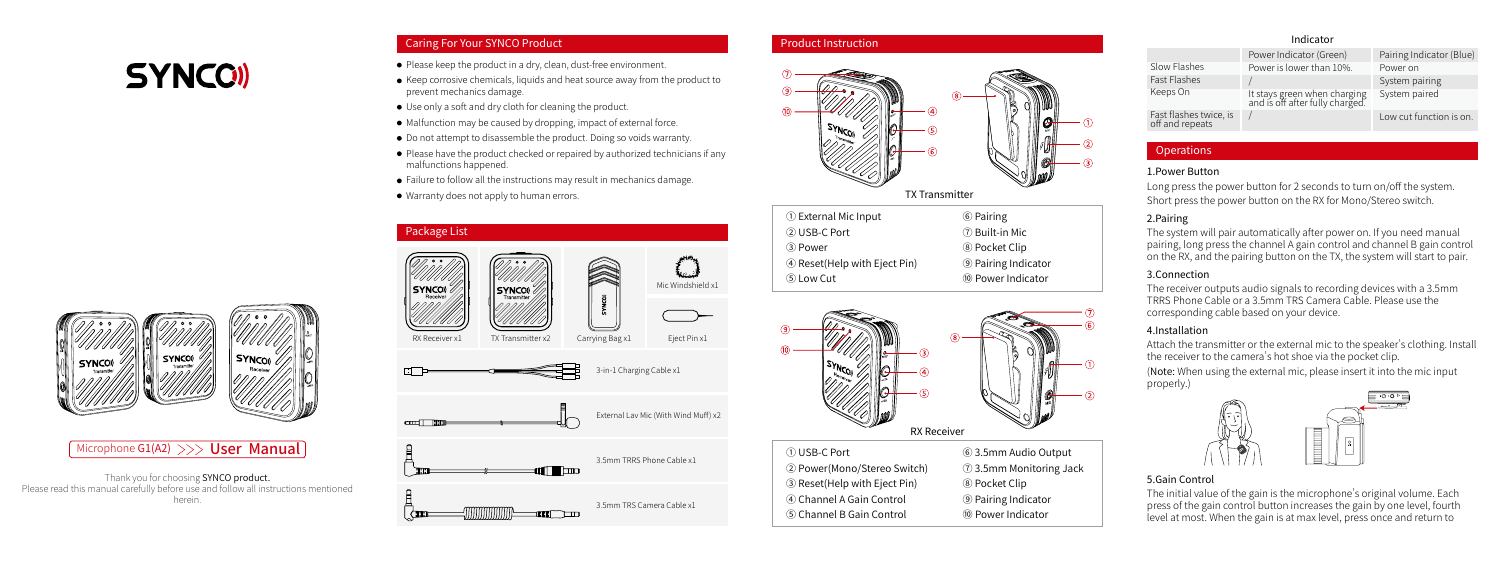# **SYNCOI**

# Caring For Your SYNCO Product

- Please keep the product in a dry, clean, dust-free environment.
- Keep corrosive chemicals, liquids and heat source away from the product to prevent mechanics damage.
- Use only a soft and dry cloth for cleaning the product.
- $\bullet$  Malfunction may be caused by dropping, impact of external force.
- $\bullet$  Do not attempt to disassemble the product. Doing so voids warranty.
- Please have the product checked or repaired by authorized technicians if any malfunctions happened.
- Failure to follow all the instructions may result in mechanics damage.
- Warranty does not apply to human errors.



# Microphone G1(A2)  $>>$  User Manual

Thank you for choosing SYNCO product. Please read this manual carefully before use and follow all instructions mentioned herein.



#### Product Instruction



| 1 External Mic Input         | 6 Pairing                  |
|------------------------------|----------------------------|
| 2 USB-C Port                 | 7 Built-in Mic             |
| (3) Power                    | <sup>8</sup> Pocket Clip   |
| 4 Reset(Help with Eject Pin) | <b>9 Pairing Indicator</b> |
| (5) Low Cut                  | 10 Power Indicator         |



② Power(Mono/Stereo Switch) ③ Reset(Help with Eject Pin) ④ Channel A Gain Control ⑤ Channel B Gain Control ⑦ 3.5mm Monitoring Jack ⑧ Pocket Clip ⑨ Pairing Indicator ⑩ Power Indicator

# Indicator

|                                           | Power Indicator (Green)                                         | Pairing Indicator (Blue) |
|-------------------------------------------|-----------------------------------------------------------------|--------------------------|
| Slow Flashes                              | Power is lower than 10%.                                        | Power on                 |
| <b>Fast Flashes</b>                       |                                                                 | System pairing           |
| Keeps On                                  | It stays green when charging<br>and is off after fully charged. | System paired            |
| Fast flashes twice, is<br>off and repeats |                                                                 | Low cut function is on.  |

# **Operations**

# 1.Power Button

Long press the power button for 2 seconds to turn on/off the system. Short press the power button on the RX for Mono/Stereo switch.

# 2.Pairing

The system will pair automatically after power on. If you need manual pairing, long press the channel A gain control and channel B gain control on the RX, and the pairing button on the TX, the system will start to pair.

# 3.Connection

The receiver outputs audio signals to recording devices with a 3.5mm TRRS Phone Cable or a 3.5mm TRS Camera Cable. Please use the corresponding cable based on your device.

# 4.Installation

Attach the transmitter or the external mic to the speaker's clothing. Install the receiver to the camera's hot shoe via the pocket clip. (Note: When using the external mic, please insert it into the mic input properly.)



# 5.Gain Control

The initial value of the gain is the microphone's original volume. Each press of the gain control button increases the gain by one level, fourth level at most. When the gain is at max level, press once and return to